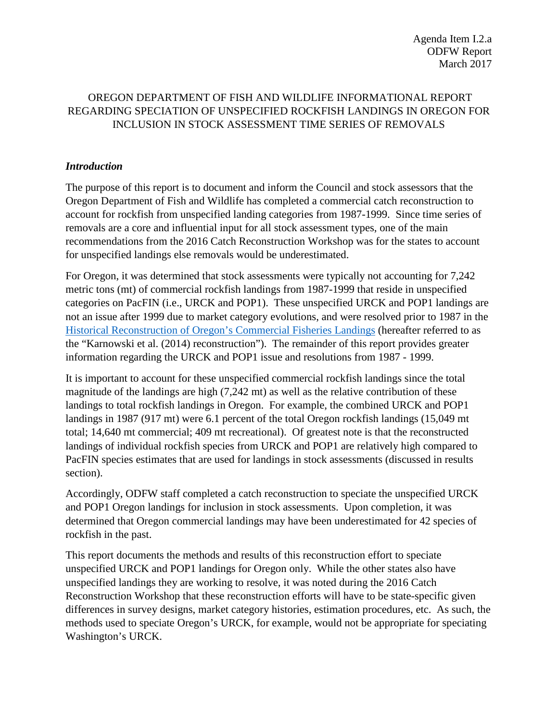## OREGON DEPARTMENT OF FISH AND WILDLIFE INFORMATIONAL REPORT REGARDING SPECIATION OF UNSPECIFIED ROCKFISH LANDINGS IN OREGON FOR INCLUSION IN STOCK ASSESSMENT TIME SERIES OF REMOVALS

#### *Introduction*

The purpose of this report is to document and inform the Council and stock assessors that the Oregon Department of Fish and Wildlife has completed a commercial catch reconstruction to account for rockfish from unspecified landing categories from 1987-1999. Since time series of removals are a core and influential input for all stock assessment types, one of the main recommendations from the 2016 Catch Reconstruction Workshop was for the states to account for unspecified landings else removals would be underestimated.

For Oregon, it was determined that stock assessments were typically not accounting for 7,242 metric tons (mt) of commercial rockfish landings from 1987-1999 that reside in unspecified categories on PacFIN (i.e., URCK and POP1). These unspecified URCK and POP1 landings are not an issue after 1999 due to market category evolutions, and were resolved prior to 1987 in th[e](http://www.dfw.state.or.us/MRP/publications/docs/ODFW_Info_Rpt%202014-02_Historic_Reconstruction_Oregon_Commercial_Fish_Landings.pdf) [Historical Reconstruction of Oregon's Commercial Fisheries Landings](http://www.dfw.state.or.us/MRP/publications/docs/ODFW_Info_Rpt%202014-02_Historic_Reconstruction_Oregon_Commercial_Fish_Landings.pdf) (hereafter referred to as the "Karnowski et al. (2014) reconstruction"). The remainder of this report provides greater information regarding the URCK and POP1 issue and resolutions from 1987 - 1999.

It is important to account for these unspecified commercial rockfish landings since the total magnitude of the landings are high (7,242 mt) as well as the relative contribution of these landings to total rockfish landings in Oregon. For example, the combined URCK and POP1 landings in 1987 (917 mt) were 6.1 percent of the total Oregon rockfish landings (15,049 mt total; 14,640 mt commercial; 409 mt recreational). Of greatest note is that the reconstructed landings of individual rockfish species from URCK and POP1 are relatively high compared to PacFIN species estimates that are used for landings in stock assessments (discussed in results section).

Accordingly, ODFW staff completed a catch reconstruction to speciate the unspecified URCK and POP1 Oregon landings for inclusion in stock assessments. Upon completion, it was determined that Oregon commercial landings may have been underestimated for 42 species of rockfish in the past.

This report documents the methods and results of this reconstruction effort to speciate unspecified URCK and POP1 landings for Oregon only. While the other states also have unspecified landings they are working to resolve, it was noted during the 2016 Catch Reconstruction Workshop that these reconstruction efforts will have to be state-specific given differences in survey designs, market category histories, estimation procedures, etc. As such, the methods used to speciate Oregon's URCK, for example, would not be appropriate for speciating Washington's URCK.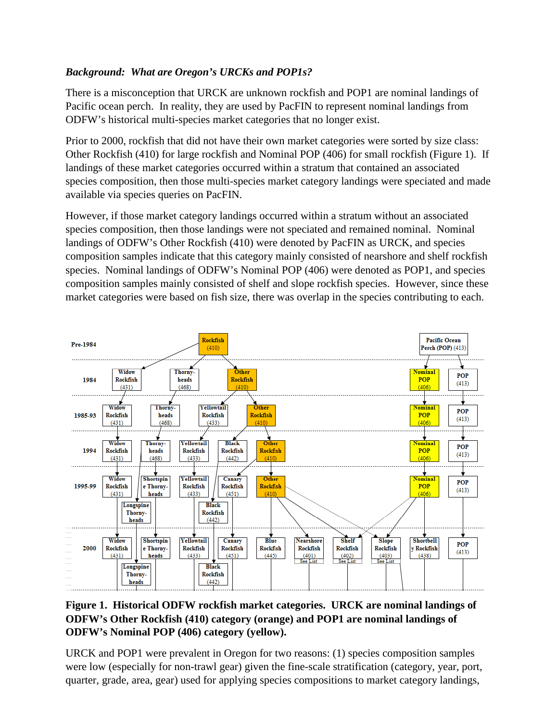# *Background: What are Oregon's URCKs and POP1s?*

There is a misconception that URCK are unknown rockfish and POP1 are nominal landings of Pacific ocean perch. In reality, they are used by PacFIN to represent nominal landings from ODFW's historical multi-species market categories that no longer exist.

Prior to 2000, rockfish that did not have their own market categories were sorted by size class: Other Rockfish (410) for large rockfish and Nominal POP (406) for small rockfish (Figure 1). If landings of these market categories occurred within a stratum that contained an associated species composition, then those multi-species market category landings were speciated and made available via species queries on PacFIN.

However, if those market category landings occurred within a stratum without an associated species composition, then those landings were not speciated and remained nominal. Nominal landings of ODFW's Other Rockfish (410) were denoted by PacFIN as URCK, and species composition samples indicate that this category mainly consisted of nearshore and shelf rockfish species. Nominal landings of ODFW's Nominal POP (406) were denoted as POP1, and species composition samples mainly consisted of shelf and slope rockfish species. However, since these market categories were based on fish size, there was overlap in the species contributing to each.



## **Figure 1. Historical ODFW rockfish market categories. URCK are nominal landings of ODFW's Other Rockfish (410) category (orange) and POP1 are nominal landings of ODFW's Nominal POP (406) category (yellow).**

URCK and POP1 were prevalent in Oregon for two reasons: (1) species composition samples were low (especially for non-trawl gear) given the fine-scale stratification (category, year, port, quarter, grade, area, gear) used for applying species compositions to market category landings,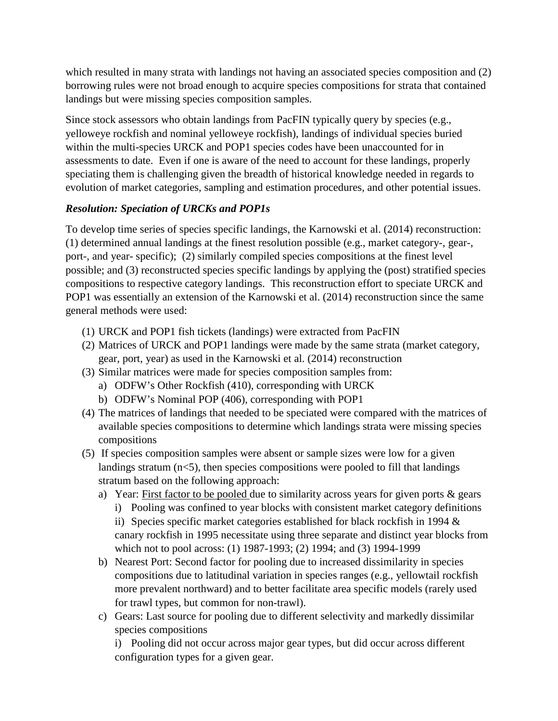which resulted in many strata with landings not having an associated species composition and (2) borrowing rules were not broad enough to acquire species compositions for strata that contained landings but were missing species composition samples.

Since stock assessors who obtain landings from PacFIN typically query by species (e.g., yelloweye rockfish and nominal yelloweye rockfish), landings of individual species buried within the multi-species URCK and POP1 species codes have been unaccounted for in assessments to date. Even if one is aware of the need to account for these landings, properly speciating them is challenging given the breadth of historical knowledge needed in regards to evolution of market categories, sampling and estimation procedures, and other potential issues.

## *Resolution: Speciation of URCKs and POP1s*

To develop time series of species specific landings, the Karnowski et al. (2014) reconstruction: (1) determined annual landings at the finest resolution possible (e.g., market category-, gear-, port-, and year- specific); (2) similarly compiled species compositions at the finest level possible; and (3) reconstructed species specific landings by applying the (post) stratified species compositions to respective category landings. This reconstruction effort to speciate URCK and POP1 was essentially an extension of the Karnowski et al. (2014) reconstruction since the same general methods were used:

- (1) URCK and POP1 fish tickets (landings) were extracted from PacFIN
- (2) Matrices of URCK and POP1 landings were made by the same strata (market category, gear, port, year) as used in the Karnowski et al. (2014) reconstruction
- (3) Similar matrices were made for species composition samples from:
	- a) ODFW's Other Rockfish (410), corresponding with URCK
	- b) ODFW's Nominal POP (406), corresponding with POP1
- (4) The matrices of landings that needed to be speciated were compared with the matrices of available species compositions to determine which landings strata were missing species compositions
- (5) If species composition samples were absent or sample sizes were low for a given landings stratum  $(n<5)$ , then species compositions were pooled to fill that landings stratum based on the following approach:
	- a) Year: First factor to be pooled due to similarity across years for given ports & gears i) Pooling was confined to year blocks with consistent market category definitions ii) Species specific market categories established for black rockfish in 1994 &
		- canary rockfish in 1995 necessitate using three separate and distinct year blocks from which not to pool across: (1) 1987-1993; (2) 1994; and (3) 1994-1999
	- b) Nearest Port: Second factor for pooling due to increased dissimilarity in species compositions due to latitudinal variation in species ranges (e.g., yellowtail rockfish more prevalent northward) and to better facilitate area specific models (rarely used for trawl types, but common for non-trawl).
	- c) Gears: Last source for pooling due to different selectivity and markedly dissimilar species compositions

i) Pooling did not occur across major gear types, but did occur across different configuration types for a given gear.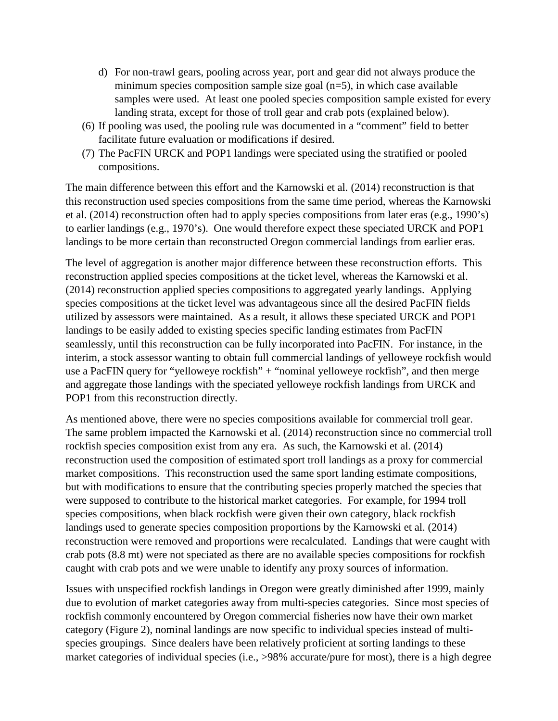- d) For non-trawl gears, pooling across year, port and gear did not always produce the minimum species composition sample size goal  $(n=5)$ , in which case available samples were used. At least one pooled species composition sample existed for every landing strata, except for those of troll gear and crab pots (explained below).
- (6) If pooling was used, the pooling rule was documented in a "comment" field to better facilitate future evaluation or modifications if desired.
- (7) The PacFIN URCK and POP1 landings were speciated using the stratified or pooled compositions.

The main difference between this effort and the Karnowski et al. (2014) reconstruction is that this reconstruction used species compositions from the same time period, whereas the Karnowski et al. (2014) reconstruction often had to apply species compositions from later eras (e.g., 1990's) to earlier landings (e.g., 1970's). One would therefore expect these speciated URCK and POP1 landings to be more certain than reconstructed Oregon commercial landings from earlier eras.

The level of aggregation is another major difference between these reconstruction efforts. This reconstruction applied species compositions at the ticket level, whereas the Karnowski et al. (2014) reconstruction applied species compositions to aggregated yearly landings. Applying species compositions at the ticket level was advantageous since all the desired PacFIN fields utilized by assessors were maintained. As a result, it allows these speciated URCK and POP1 landings to be easily added to existing species specific landing estimates from PacFIN seamlessly, until this reconstruction can be fully incorporated into PacFIN. For instance, in the interim, a stock assessor wanting to obtain full commercial landings of yelloweye rockfish would use a PacFIN query for "yelloweye rockfish" + "nominal yelloweye rockfish", and then merge and aggregate those landings with the speciated yelloweye rockfish landings from URCK and POP1 from this reconstruction directly.

As mentioned above, there were no species compositions available for commercial troll gear. The same problem impacted the Karnowski et al. (2014) reconstruction since no commercial troll rockfish species composition exist from any era. As such, the Karnowski et al. (2014) reconstruction used the composition of estimated sport troll landings as a proxy for commercial market compositions. This reconstruction used the same sport landing estimate compositions, but with modifications to ensure that the contributing species properly matched the species that were supposed to contribute to the historical market categories. For example, for 1994 troll species compositions, when black rockfish were given their own category, black rockfish landings used to generate species composition proportions by the Karnowski et al. (2014) reconstruction were removed and proportions were recalculated. Landings that were caught with crab pots (8.8 mt) were not speciated as there are no available species compositions for rockfish caught with crab pots and we were unable to identify any proxy sources of information.

Issues with unspecified rockfish landings in Oregon were greatly diminished after 1999, mainly due to evolution of market categories away from multi-species categories. Since most species of rockfish commonly encountered by Oregon commercial fisheries now have their own market category (Figure 2), nominal landings are now specific to individual species instead of multispecies groupings. Since dealers have been relatively proficient at sorting landings to these market categories of individual species (i.e., >98% accurate/pure for most), there is a high degree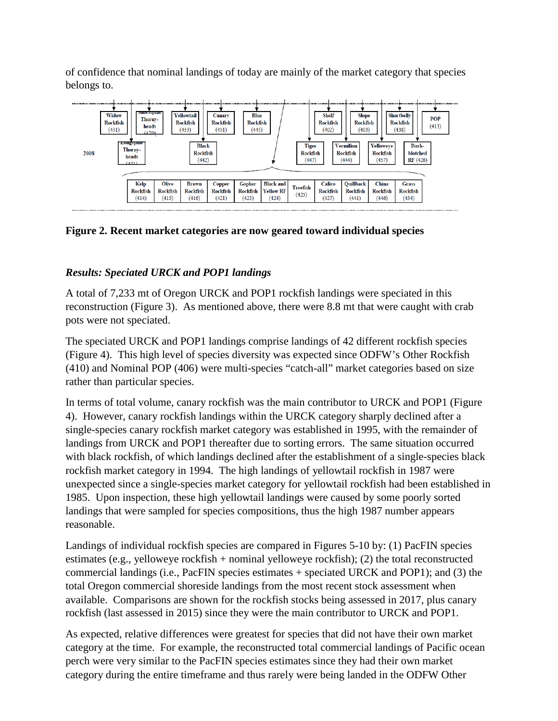of confidence that nominal landings of today are mainly of the market category that species belongs to.



**Figure 2. Recent market categories are now geared toward individual species**

# *Results: Speciated URCK and POP1 landings*

A total of 7,233 mt of Oregon URCK and POP1 rockfish landings were speciated in this reconstruction (Figure 3). As mentioned above, there were 8.8 mt that were caught with crab pots were not speciated.

The speciated URCK and POP1 landings comprise landings of 42 different rockfish species (Figure 4). This high level of species diversity was expected since ODFW's Other Rockfish (410) and Nominal POP (406) were multi-species "catch-all" market categories based on size rather than particular species.

In terms of total volume, canary rockfish was the main contributor to URCK and POP1 (Figure 4). However, canary rockfish landings within the URCK category sharply declined after a single-species canary rockfish market category was established in 1995, with the remainder of landings from URCK and POP1 thereafter due to sorting errors. The same situation occurred with black rockfish, of which landings declined after the establishment of a single-species black rockfish market category in 1994. The high landings of yellowtail rockfish in 1987 were unexpected since a single-species market category for yellowtail rockfish had been established in 1985. Upon inspection, these high yellowtail landings were caused by some poorly sorted landings that were sampled for species compositions, thus the high 1987 number appears reasonable.

Landings of individual rockfish species are compared in Figures 5-10 by: (1) PacFIN species estimates (e.g., yelloweye rockfish + nominal yelloweye rockfish); (2) the total reconstructed commercial landings (i.e., PacFIN species estimates + speciated URCK and POP1); and (3) the total Oregon commercial shoreside landings from the most recent stock assessment when available. Comparisons are shown for the rockfish stocks being assessed in 2017, plus canary rockfish (last assessed in 2015) since they were the main contributor to URCK and POP1.

As expected, relative differences were greatest for species that did not have their own market category at the time. For example, the reconstructed total commercial landings of Pacific ocean perch were very similar to the PacFIN species estimates since they had their own market category during the entire timeframe and thus rarely were being landed in the ODFW Other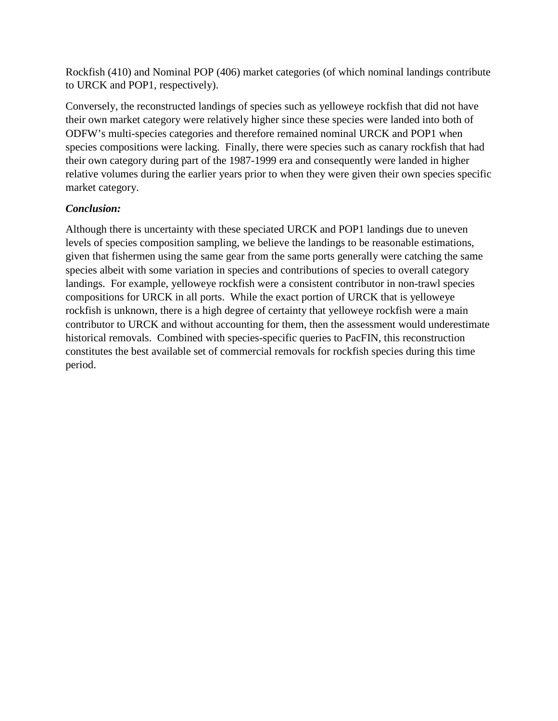Rockfish (410) and Nominal POP (406) market categories (of which nominal landings contribute to URCK and POP1, respectively).

Conversely, the reconstructed landings of species such as yelloweye rockfish that did not have their own market category were relatively higher since these species were landed into both of ODFW's multi-species categories and therefore remained nominal URCK and POP1 when species compositions were lacking. Finally, there were species such as canary rockfish that had their own category during part of the 1987-1999 era and consequently were landed in higher relative volumes during the earlier years prior to when they were given their own species specific market category.

### *Conclusion:*

Although there is uncertainty with these speciated URCK and POP1 landings due to uneven levels of species composition sampling, we believe the landings to be reasonable estimations, given that fishermen using the same gear from the same ports generally were catching the same species albeit with some variation in species and contributions of species to overall category landings. For example, yelloweye rockfish were a consistent contributor in non-trawl species compositions for URCK in all ports. While the exact portion of URCK that is yelloweye rockfish is unknown, there is a high degree of certainty that yelloweye rockfish were a main contributor to URCK and without accounting for them, then the assessment would underestimate historical removals. Combined with species-specific queries to PacFIN, this reconstruction constitutes the best available set of commercial removals for rockfish species during this time period.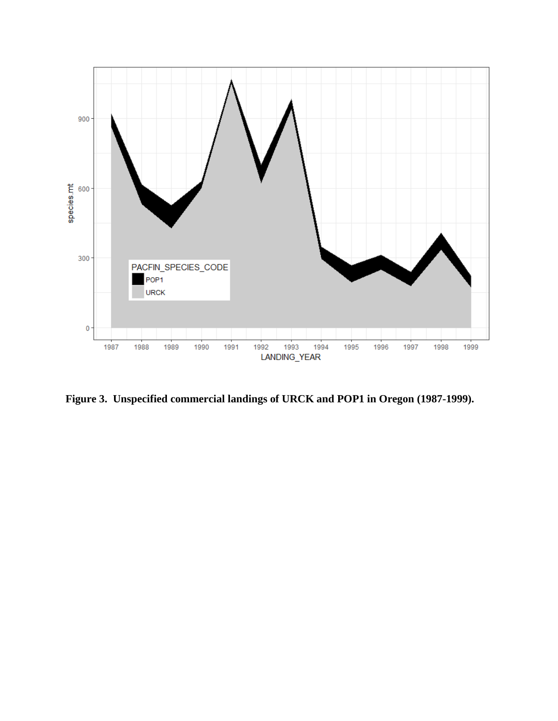

**Figure 3. Unspecified commercial landings of URCK and POP1 in Oregon (1987-1999).**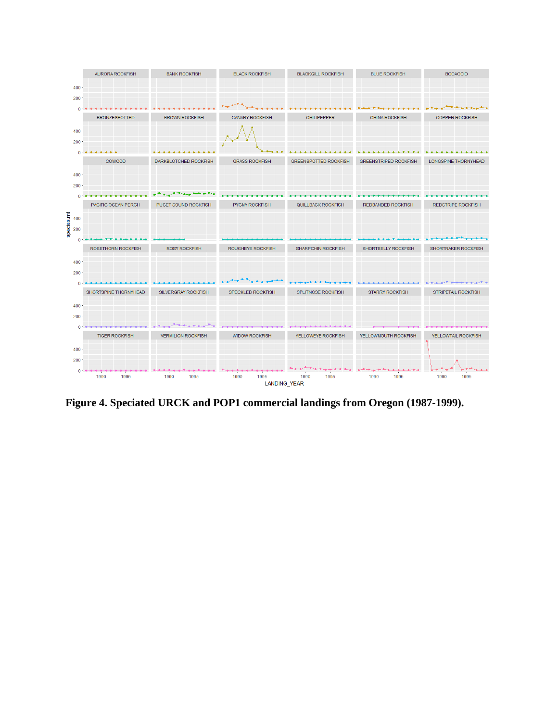![](_page_7_Figure_0.jpeg)

**Figure 4. Speciated URCK and POP1 commercial landings from Oregon (1987-1999).**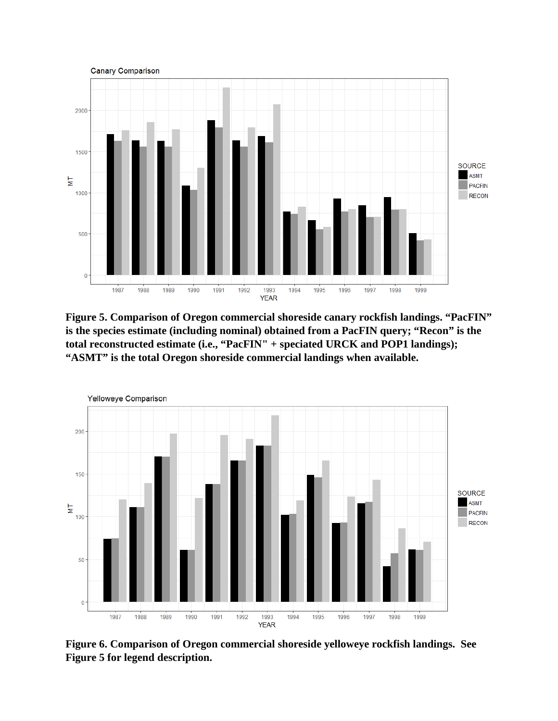![](_page_8_Figure_0.jpeg)

**Figure 5. Comparison of Oregon commercial shoreside canary rockfish landings. "PacFIN" is the species estimate (including nominal) obtained from a PacFIN query; "Recon" is the total reconstructed estimate (i.e., "PacFIN" + speciated URCK and POP1 landings); "ASMT" is the total Oregon shoreside commercial landings when available.** 

![](_page_8_Figure_2.jpeg)

**Figure 6. Comparison of Oregon commercial shoreside yelloweye rockfish landings. See Figure 5 for legend description.**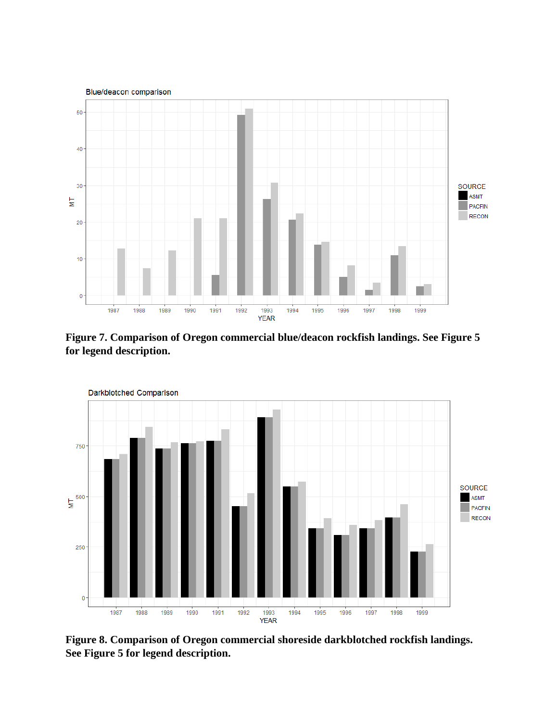![](_page_9_Figure_0.jpeg)

**Figure 7. Comparison of Oregon commercial blue/deacon rockfish landings. See Figure 5 for legend description.** 

![](_page_9_Figure_2.jpeg)

**Figure 8. Comparison of Oregon commercial shoreside darkblotched rockfish landings. See Figure 5 for legend description.**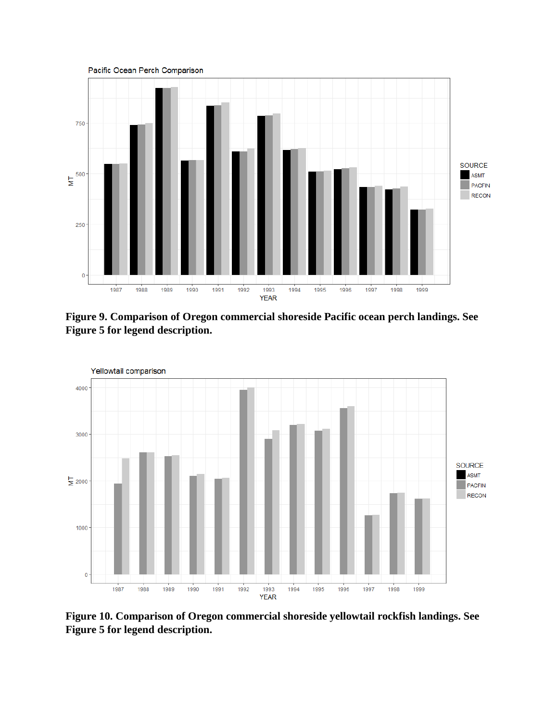![](_page_10_Figure_0.jpeg)

**Figure 9. Comparison of Oregon commercial shoreside Pacific ocean perch landings. See Figure 5 for legend description.** 

![](_page_10_Figure_2.jpeg)

**Figure 10. Comparison of Oregon commercial shoreside yellowtail rockfish landings. See Figure 5 for legend description.**